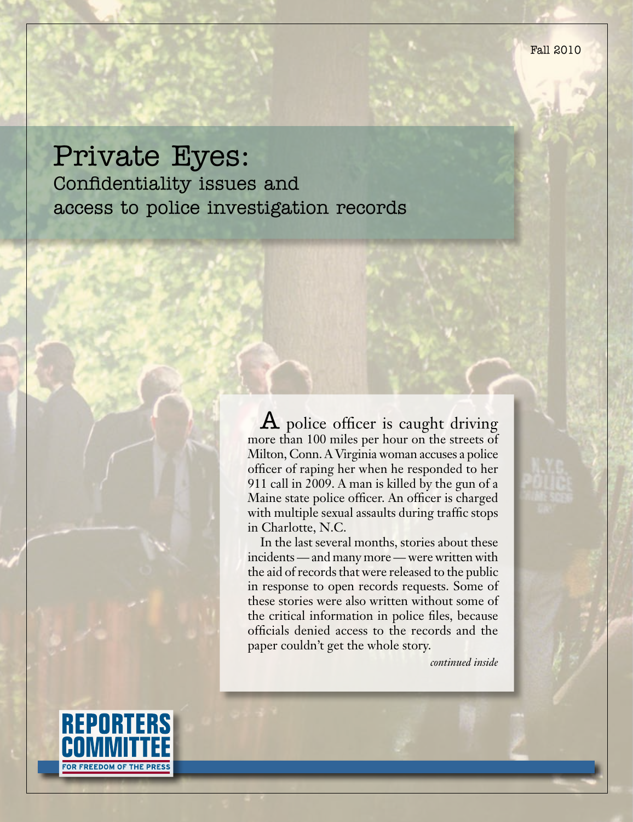# Private Eyes:

Confidentiality issues and access to police investigation records

> A police officer is caught driving more than 100 miles per hour on the streets of Milton, Conn. A Virginia woman accuses a police officer of raping her when he responded to her 911 call in 2009. A man is killed by the gun of a Maine state police officer. An officer is charged with multiple sexual assaults during traffic stops in Charlotte, N.C.

> In the last several months, stories about these incidents — and many more — were written with the aid of records that were released to the public in response to open records requests. Some of these stories were also written without some of the critical information in police files, because officials denied access to the records and the paper couldn't get the whole story.

> > *continued inside*

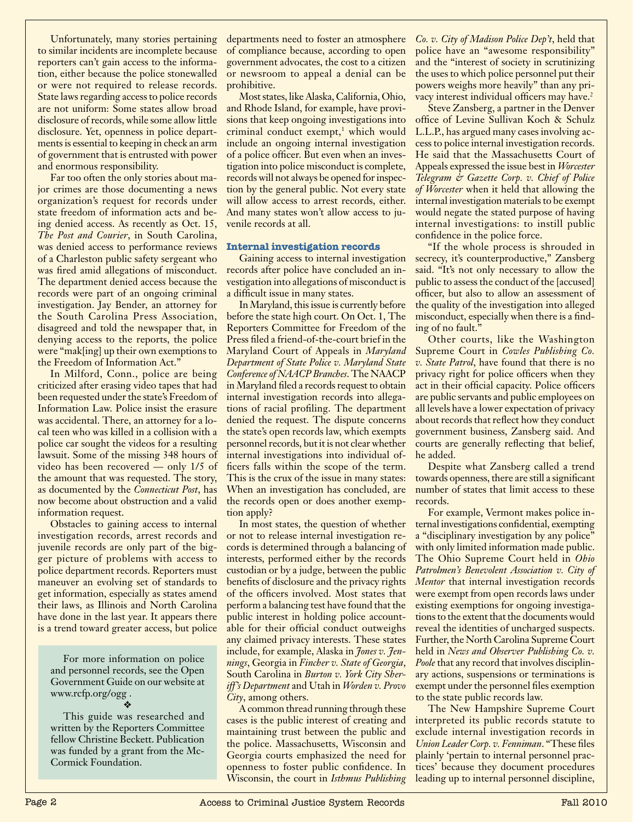Unfortunately, many stories pertaining to similar incidents are incomplete because reporters can't gain access to the information, either because the police stonewalled or were not required to release records. State laws regarding access to police records are not uniform: Some states allow broad disclosure of records, while some allow little disclosure. Yet, openness in police departments is essential to keeping in check an arm of government that is entrusted with power and enormous responsibility.

Far too often the only stories about major crimes are those documenting a news organization's request for records under state freedom of information acts and being denied access. As recently as Oct. 15, *The Post and Courier*, in South Carolina, was denied access to performance reviews of a Charleston public safety sergeant who was fired amid allegations of misconduct. The department denied access because the records were part of an ongoing criminal investigation. Jay Bender, an attorney for the South Carolina Press Association, disagreed and told the newspaper that, in denying access to the reports, the police were "mak[ing] up their own exemptions to the Freedom of Information Act."

In Milford, Conn., police are being criticized after erasing video tapes that had been requested under the state's Freedom of Information Law. Police insist the erasure was accidental. There, an attorney for a local teen who was killed in a collision with a police car sought the videos for a resulting lawsuit. Some of the missing 348 hours of video has been recovered — only 1/5 of the amount that was requested. The story, as documented by the *Connecticut Post*, has now become about obstruction and a valid information request.

Obstacles to gaining access to internal investigation records, arrest records and juvenile records are only part of the bigger picture of problems with access to police department records. Reporters must maneuver an evolving set of standards to get information, especially as states amend their laws, as Illinois and North Carolina have done in the last year. It appears there is a trend toward greater access, but police

For more information on police and personnel records, see the Open Government Guide on our website at www.rcfp.org/ogg . v

This guide was researched and written by the Reporters Committee fellow Christine Beckett. Publication was funded by a grant from the Mc-Cormick Foundation.

of compliance because, according to open government advocates, the cost to a citizen or newsroom to appeal a denial can be prohibitive.

Most states, like Alaska, California, Ohio, and Rhode Island, for example, have provisions that keep ongoing investigations into criminal conduct exempt,<sup>1</sup> which would include an ongoing internal investigation of a police officer. But even when an investigation into police misconduct is complete, records will not always be opened for inspection by the general public. Not every state will allow access to arrest records, either. And many states won't allow access to juvenile records at all.

## **Internal investigation records**

Gaining access to internal investigation records after police have concluded an investigation into allegations of misconduct is a difficult issue in many states.

In Maryland, this issue is currently before before the state high court. On Oct. 1, The Reporters Committee for Freedom of the Press filed a friend-of-the-court brief in the Maryland Court of Appeals in *Maryland Department of State Police v. Maryland State Conference of NAACP Branches*. The NAACP in Maryland filed a records request to obtain internal investigation records into allegations of racial profiling. The department denied the request. The dispute concerns the state's open records law, which exempts personnel records, but it is not clear whether internal investigations into individual officers falls within the scope of the term. This is the crux of the issue in many states: When an investigation has concluded, are the records open or does another exemption apply?

In most states, the question of whether or not to release internal investigation records is determined through a balancing of interests, performed either by the records custodian or by a judge, between the public benefits of disclosure and the privacy rights of the officers involved. Most states that perform a balancing test have found that the public interest in holding police accountable for their official conduct outweighs any claimed privacy interests. These states include, for example, Alaska in *Jones v. Jennings*, Georgia in *Fincher v. State of Georgia*, South Carolina in *Burton v. York City Sheriff's Department* and Utah in *Worden v. Provo City*, among others.

A common thread running through these cases is the public interest of creating and maintaining trust between the public and the police. Massachusetts, Wisconsin and Georgia courts emphasized the need for openness to foster public confidence. In Wisconsin, the court in *Isthmus Publishing* 

departments need to foster an atmosphere *Co. v. City of Madison Police Dep't*, held that police have an "awesome responsibility" and the "interest of society in scrutinizing the uses to which police personnel put their powers weighs more heavily" than any privacy interest individual officers may have.<sup>2</sup>

> Steve Zansberg, a partner in the Denver office of Levine Sullivan Koch & Schulz L.L.P., has argued many cases involving access to police internal investigation records. He said that the Massachusetts Court of Appeals expressed the issue best in *Worcester Telegram & Gazette Corp. v. Chief of Police of Worcester* when it held that allowing the internal investigation materials to be exempt would negate the stated purpose of having internal investigations: to instill public confidence in the police force.

> "If the whole process is shrouded in secrecy, it's counterproductive," Zansberg said. "It's not only necessary to allow the public to assess the conduct of the [accused] officer, but also to allow an assessment of the quality of the investigation into alleged misconduct, especially when there is a finding of no fault."

> Other courts, like the Washington Supreme Court in *Cowles Publishing Co. v. State Patrol*, have found that there is no privacy right for police officers when they act in their official capacity. Police officers are public servants and public employees on all levels have a lower expectation of privacy about records that reflect how they conduct government business, Zansberg said. And courts are generally reflecting that belief, he added.

> Despite what Zansberg called a trend towards openness, there are still a significant number of states that limit access to these records.

> For example, Vermont makes police internal investigations confidential, exempting a "disciplinary investigation by any police" with only limited information made public. The Ohio Supreme Court held in *Ohio Patrolmen's Benevolent Association v. City of Mentor* that internal investigation records were exempt from open records laws under existing exemptions for ongoing investigations to the extent that the documents would reveal the identities of uncharged suspects. Further, the North Carolina Supreme Court held in *News and Observer Publishing Co. v. Poole* that any record that involves disciplinary actions, suspensions or terminations is exempt under the personnel files exemption to the state public records law.

> The New Hampshire Supreme Court interpreted its public records statute to exclude internal investigation records in *Union Leader Corp. v. Fenniman*. "These files plainly 'pertain to internal personnel practices' because they document procedures leading up to internal personnel discipline,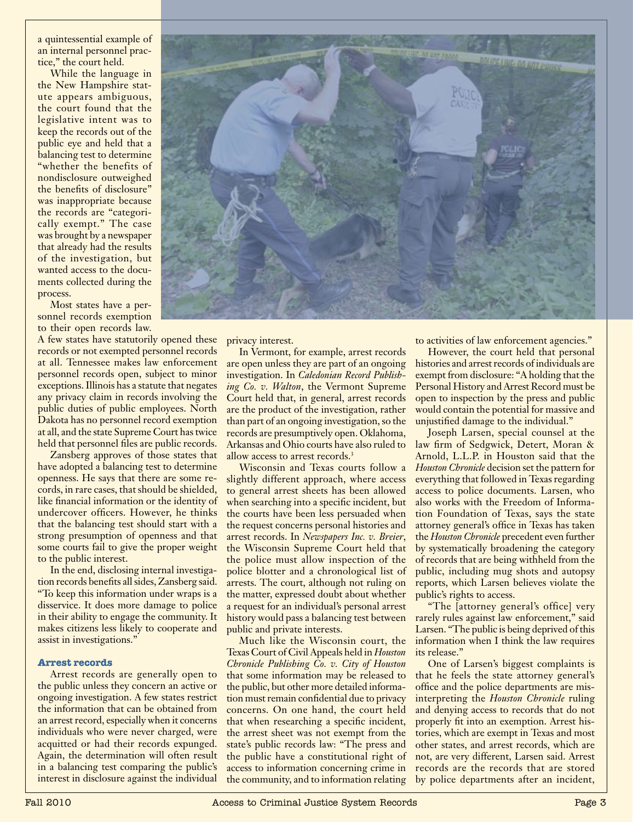a quintessential example of an internal personnel practice," the court held.

While the language in the New Hampshire statute appears ambiguous, the court found that the legislative intent was to keep the records out of the public eye and held that a balancing test to determine "whether the benefits of nondisclosure outweighed the benefits of disclosure" was inappropriate because the records are "categorically exempt." The case was brought by a newspaper that already had the results of the investigation, but wanted access to the documents collected during the process.

Most states have a personnel records exemption to their open records law.

A few states have statutorily opened these records or not exempted personnel records at all. Tennessee makes law enforcement personnel records open, subject to minor exceptions. Illinois has a statute that negates any privacy claim in records involving the public duties of public employees. North Dakota has no personnel record exemption at all, and the state Supreme Court has twice held that personnel files are public records.

Zansberg approves of those states that have adopted a balancing test to determine openness. He says that there are some records, in rare cases, that should be shielded, like financial information or the identity of undercover officers. However, he thinks that the balancing test should start with a strong presumption of openness and that some courts fail to give the proper weight to the public interest.

In the end, disclosing internal investigation records benefits all sides, Zansberg said. "To keep this information under wraps is a disservice. It does more damage to police in their ability to engage the community. It makes citizens less likely to cooperate and assist in investigations."

#### **Arrest records**

Arrest records are generally open to the public unless they concern an active or ongoing investigation. A few states restrict the information that can be obtained from an arrest record, especially when it concerns individuals who were never charged, were acquitted or had their records expunged. Again, the determination will often result in a balancing test comparing the public's interest in disclosure against the individual



privacy interest.

In Vermont, for example, arrest records are open unless they are part of an ongoing investigation. In *Caledonian Record Publishing Co. v. Walton*, the Vermont Supreme Court held that, in general, arrest records are the product of the investigation, rather than part of an ongoing investigation, so the records are presumptively open. Oklahoma, Arkansas and Ohio courts have also ruled to allow access to arrest records<sup>3</sup>

Wisconsin and Texas courts follow a slightly different approach, where access to general arrest sheets has been allowed when searching into a specific incident, but the courts have been less persuaded when the request concerns personal histories and arrest records. In *Newspapers Inc. v. Breier*, the Wisconsin Supreme Court held that the police must allow inspection of the police blotter and a chronological list of arrests. The court, although not ruling on the matter, expressed doubt about whether a request for an individual's personal arrest history would pass a balancing test between public and private interests.

Much like the Wisconsin court, the Texas Court of Civil Appeals held in *Houston Chronicle Publishing Co. v. City of Houston* that some information may be released to the public, but other more detailed information must remain confidential due to privacy concerns. On one hand, the court held that when researching a specific incident, the arrest sheet was not exempt from the state's public records law: "The press and the public have a constitutional right of access to information concerning crime in the community, and to information relating

to activities of law enforcement agencies."

However, the court held that personal histories and arrest records of individuals are exempt from disclosure: "A holding that the Personal History and Arrest Record must be open to inspection by the press and public would contain the potential for massive and unjustified damage to the individual."

Joseph Larsen, special counsel at the law firm of Sedgwick, Detert, Moran & Arnold, L.L.P. in Houston said that the *Houston Chronicle* decision set the pattern for everything that followed in Texas regarding access to police documents. Larsen, who also works with the Freedom of Information Foundation of Texas, says the state attorney general's office in Texas has taken the *Houston Chronicle* precedent even further by systematically broadening the category of records that are being withheld from the public, including mug shots and autopsy reports, which Larsen believes violate the public's rights to access.

"The [attorney general's office] very rarely rules against law enforcement," said Larsen. "The public is being deprived of this information when I think the law requires its release."

One of Larsen's biggest complaints is that he feels the state attorney general's office and the police departments are misinterpreting the *Houston Chronicle* ruling and denying access to records that do not properly fit into an exemption. Arrest histories, which are exempt in Texas and most other states, and arrest records, which are not, are very different, Larsen said. Arrest records are the records that are stored by police departments after an incident,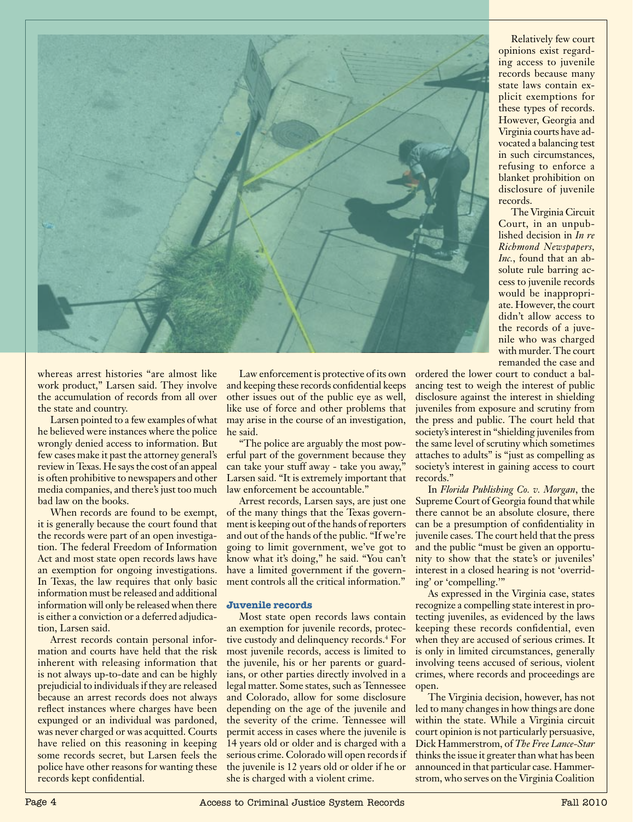

Relatively few court opinions exist regarding access to juvenile records because many state laws contain explicit exemptions for these types of records. However, Georgia and Virginia courts have advocated a balancing test in such circumstances, refusing to enforce a blanket prohibition on disclosure of juvenile records.

The Virginia Circuit Court, in an unpublished decision in *In re Richmond Newspapers, Inc.*, found that an absolute rule barring access to juvenile records would be inappropriate. However, the court didn't allow access to the records of a juvenile who was charged with murder. The court remanded the case and

whereas arrest histories "are almost like work product," Larsen said. They involve the accumulation of records from all over the state and country.

Larsen pointed to a few examples of what he believed were instances where the police wrongly denied access to information. But few cases make it past the attorney general's review in Texas. He says the cost of an appeal is often prohibitive to newspapers and other media companies, and there's just too much bad law on the books.

When records are found to be exempt. it is generally because the court found that the records were part of an open investigation. The federal Freedom of Information Act and most state open records laws have an exemption for ongoing investigations. In Texas, the law requires that only basic information must be released and additional information will only be released when there is either a conviction or a deferred adjudication, Larsen said.

Arrest records contain personal information and courts have held that the risk inherent with releasing information that is not always up-to-date and can be highly prejudicial to individuals if they are released because an arrest records does not always reflect instances where charges have been expunged or an individual was pardoned, was never charged or was acquitted. Courts have relied on this reasoning in keeping some records secret, but Larsen feels the police have other reasons for wanting these records kept confidential.

Law enforcement is protective of its own and keeping these records confidential keeps other issues out of the public eye as well, like use of force and other problems that may arise in the course of an investigation, he said.

"The police are arguably the most powerful part of the government because they can take your stuff away - take you away," Larsen said. "It is extremely important that law enforcement be accountable."

Arrest records, Larsen says, are just one of the many things that the Texas government is keeping out of the hands of reporters and out of the hands of the public. "If we're going to limit government, we've got to know what it's doing," he said. "You can't have a limited government if the government controls all the critical information."

## **Juvenile records**

Most state open records laws contain an exemption for juvenile records, protective custody and delinquency records.4 For most juvenile records, access is limited to the juvenile, his or her parents or guardians, or other parties directly involved in a legal matter. Some states, such as Tennessee and Colorado, allow for some disclosure depending on the age of the juvenile and the severity of the crime. Tennessee will permit access in cases where the juvenile is 14 years old or older and is charged with a serious crime. Colorado will open records if the juvenile is 12 years old or older if he or she is charged with a violent crime.

ordered the lower court to conduct a balancing test to weigh the interest of public disclosure against the interest in shielding juveniles from exposure and scrutiny from the press and public. The court held that society's interest in "shielding juveniles from the same level of scrutiny which sometimes attaches to adults" is "just as compelling as society's interest in gaining access to court records."

In *Florida Publishing Co. v. Morgan*, the Supreme Court of Georgia found that while there cannot be an absolute closure, there can be a presumption of confidentiality in juvenile cases. The court held that the press and the public "must be given an opportunity to show that the state's or juveniles' interest in a closed hearing is not 'overriding' or 'compelling.'"

As expressed in the Virginia case, states recognize a compelling state interest in protecting juveniles, as evidenced by the laws keeping these records confidential, even when they are accused of serious crimes. It is only in limited circumstances, generally involving teens accused of serious, violent crimes, where records and proceedings are open.

The Virginia decision, however, has not led to many changes in how things are done within the state. While a Virginia circuit court opinion is not particularly persuasive, Dick Hammerstrom, of *The Free Lance-Star*  thinks the issue it greater than what has been announced in that particular case. Hammerstrom, who serves on the Virginia Coalition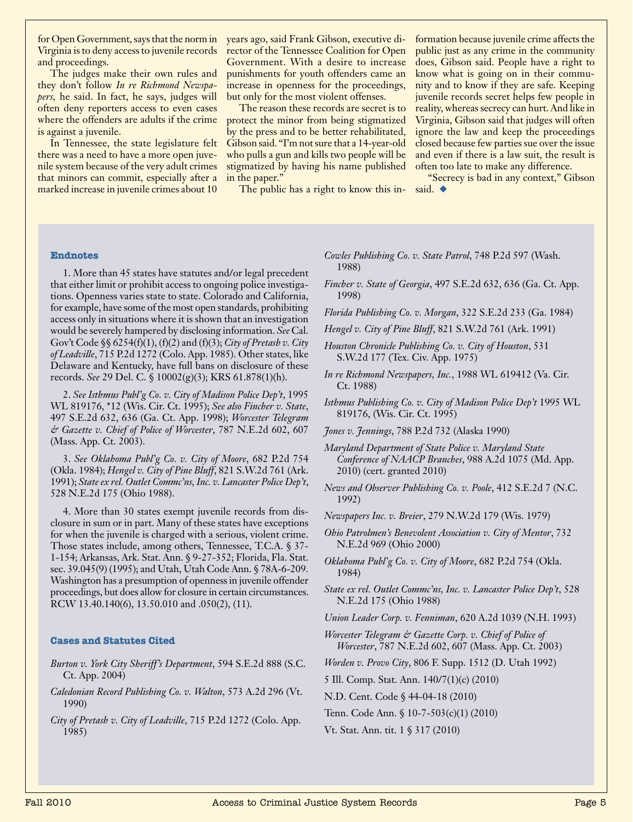Virginia is to deny access to juvenile records and proceedings.

The judges make their own rules and they don't follow *In re Richmond Newspapers,* he said. In fact, he says, judges will often deny reporters access to even cases where the offenders are adults if the crime is against a juvenile.

In Tennessee, the state legislature felt there was a need to have a more open juvenile system because of the very adult crimes that minors can commit, especially after a marked increase in juvenile crimes about 10

for Open Government, says that the norm in years ago, said Frank Gibson, executive director of the Tennessee Coalition for Open Government. With a desire to increase punishments for youth offenders came an increase in openness for the proceedings, but only for the most violent offenses.

> The reason these records are secret is to protect the minor from being stigmatized by the press and to be better rehabilitated, Gibson said. "I'm not sure that a 14-year-old who pulls a gun and kills two people will be stigmatized by having his name published in the paper."

The public has a right to know this in- said.  $\blacklozenge$ 

formation because juvenile crime affects the public just as any crime in the community does, Gibson said. People have a right to know what is going on in their community and to know if they are safe. Keeping juvenile records secret helps few people in reality, whereas secrecy can hurt. And like in Virginia, Gibson said that judges will often ignore the law and keep the proceedings closed because few parties sue over the issue and even if there is a law suit, the result is often too late to make any difference.

"Secrecy is bad in any context," Gibson

#### **Endnotes**

1. More than 45 states have statutes and/or legal precedent that either limit or prohibit access to ongoing police investigations. Openness varies state to state. Colorado and California, for example, have some of the most open standards, prohibiting access only in situations where it is shown that an investigation would be severely hampered by disclosing information. *See* Cal. Gov't Code §§ 6254(f)(1), (f)(2) and (f)(3); *City of Pretash v. City of Leadville*, 715 P.2d 1272 (Colo. App. 1985). Other states, like Delaware and Kentucky, have full bans on disclosure of these records. *See* 29 Del. C. § 10002(g)(3); KRS 61.878(1)(h).

2. *See Isthmus Publ'g Co. v. City of Madison Police Dep't*, 1995 WL 819176, \*12 (Wis. Cir. Ct. 1995); *See also Fincher v. State*, 497 S.E.2d 632, 636 (Ga. Ct. App. 1998); *Worcester Telegram & Gazette v. Chief of Police of Worcester*, 787 N.E.2d 602, 607 (Mass. App. Ct. 2003).

3. *See Oklahoma Publ'g Co. v. City of Moore*, 682 P.2d 754 (Okla. 1984); *Hengel v. City of Pine Bluff*, 821 S.W.2d 761 (Ark. 1991); *State ex rel. Outlet Commc'ns, Inc. v. Lancaster Police Dep't*, 528 N.E.2d 175 (Ohio 1988).

4. More than 30 states exempt juvenile records from disclosure in sum or in part. Many of these states have exceptions for when the juvenile is charged with a serious, violent crime. Those states include, among others, Tennessee, T.C.A. § 37- 1-154; Arkansas, Ark. Stat. Ann. § 9-27-352; Florida, Fla. Stat. sec. 39.045(9) (1995); and Utah, Utah Code Ann. § 78A-6-209. Washington has a presumption of openness in juvenile offender proceedings, but does allow for closure in certain circumstances. RCW 13.40.140(6), 13.50.010 and .050(2), (11).

## **Cases and Statutes Cited**

- *Burton v. York City Sheriff's Department*, 594 S.E.2d 888 (S.C. Ct. App. 2004)
- *Caledonian Record Publishing Co. v. Walton*, 573 A.2d 296 (Vt. 1990)
- *City of Pretash v. City of Leadville*, 715 P.2d 1272 (Colo. App. 1985)
- *Cowles Publishing Co. v. State Patrol*, 748 P.2d 597 (Wash. 1988)
- *Fincher v. State of Georgia*, 497 S.E.2d 632, 636 (Ga. Ct. App. 1998)
- *Florida Publishing Co. v. Morgan*, 322 S.E.2d 233 (Ga. 1984)
- *Hengel v. City of Pine Bluff*, 821 S.W.2d 761 (Ark. 1991)
- *Houston Chronicle Publishing Co. v. City of Houston*, 531 S.W.2d 177 (Tex. Civ. App. 1975)
- *In re Richmond Newspapers, Inc.*, 1988 WL 619412 (Va. Cir. Ct. 1988)
- *Isthmus Publishing Co. v. City of Madison Police Dep't* 1995 WL 819176, (Wis. Cir. Ct. 1995)
- *Jones v. Jennings*, 788 P.2d 732 (Alaska 1990)
- *Maryland Department of State Police v. Maryland State Conference of NAACP Branches*, 988 A.2d 1075 (Md. App. 2010) (cert. granted 2010)
- *News and Observer Publishing Co. v. Poole*, 412 S.E.2d 7 (N.C. 1992)
- *Newspapers Inc. v. Breier*, 279 N.W.2d 179 (Wis. 1979)
- *Ohio Patrolmen's Benevolent Association v. City of Mentor*, 732 N.E.2d 969 (Ohio 2000)
- *Oklahoma Publ'g Co. v. City of Moore*, 682 P.2d 754 (Okla. 1984)
- *State ex rel. Outlet Commc'ns, Inc. v. Lancaster Police Dep't*, 528 N.E.2d 175 (Ohio 1988)
- *Union Leader Corp. v. Fenniman*, 620 A.2d 1039 (N.H. 1993)
- *Worcester Telegram & Gazette Corp. v. Chief of Police of Worcester*, 787 N.E.2d 602, 607 (Mass. App. Ct. 2003)
- *Worden v. Provo City*, 806 F. Supp. 1512 (D. Utah 1992)
- 5 Ill. Comp. Stat. Ann. 140/7(1)(c) (2010)
- N.D. Cent. Code § 44-04-18 (2010)
- Tenn. Code Ann. § 10-7-503(c)(1) (2010)
- Vt. Stat. Ann. tit. 1 § 317 (2010)